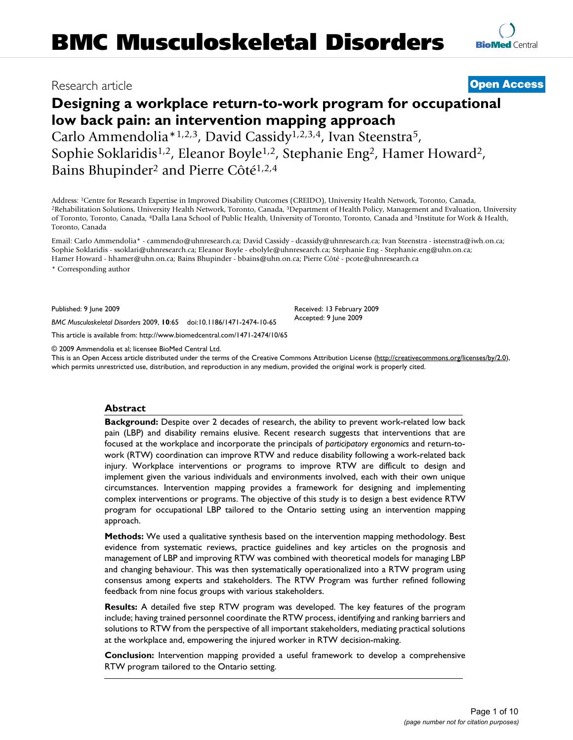# Research article **[Open Access](http://www.biomedcentral.com/info/about/charter/)**

**[BioMed](http://www.biomedcentral.com/)** Central

# **Designing a workplace return-to-work program for occupational low back pain: an intervention mapping approach**

Carlo Ammendolia\*1,2,3, David Cassidy1,2,3,4, Ivan Steenstra5, Sophie Soklaridis<sup>1,2</sup>, Eleanor Boyle<sup>1,2</sup>, Stephanie Eng<sup>2</sup>, Hamer Howard<sup>2</sup>, Bains Bhupinder<sup>2</sup> and Pierre Côté<sup>1,2,4</sup>

Address: <sup>1</sup>Centre for Research Expertise in Improved Disability Outcomes (CREIDO), University Health Network, Toronto, Canada,<br><sup>2</sup>Rehabilitation Solutions, University Health Network, Toronto, Canada, <sup>3</sup>Department of Heal of Toronto, Toronto, Canada, 4Dalla Lana School of Public Health, University of Toronto, Toronto, Canada and 5Institute for Work & Health, Toronto, Canada

Email: Carlo Ammendolia\* - cammendo@uhnresearch.ca; David Cassidy - dcassidy@uhnresearch.ca; Ivan Steenstra - isteenstra@iwh.on.ca; Sophie Soklaridis - ssoklari@uhnresearch.ca; Eleanor Boyle - ebolyle@uhnresearch.ca; Stephanie Eng - Stephanie.eng@uhn.on.ca; Hamer Howard - hhamer@uhn.on.ca; Bains Bhupinder - bbains@uhn.on.ca; Pierre Côté - pcote@uhnresearch.ca \* Corresponding author

Published: 9 June 2009

Received: 13 February 2009 Accepted: 9 June 2009

*BMC Musculoskeletal Disorders* 2009, **10**:65 doi:10.1186/1471-2474-10-65 [This article is available from: http://www.biomedcentral.com/1471-2474/10/65](http://www.biomedcentral.com/1471-2474/10/65)

© 2009 Ammendolia et al; licensee BioMed Central Ltd.

This is an Open Access article distributed under the terms of the Creative Commons Attribution License [\(http://creativecommons.org/licenses/by/2.0\)](http://creativecommons.org/licenses/by/2.0), which permits unrestricted use, distribution, and reproduction in any medium, provided the original work is properly cited.

# **Abstract**

**Background:** Despite over 2 decades of research, the ability to prevent work-related low back pain (LBP) and disability remains elusive. Recent research suggests that interventions that are focused at the workplace and incorporate the principals of *participatory ergonomics* and return-towork (RTW) coordination can improve RTW and reduce disability following a work-related back injury. Workplace interventions or programs to improve RTW are difficult to design and implement given the various individuals and environments involved, each with their own unique circumstances. Intervention mapping provides a framework for designing and implementing complex interventions or programs. The objective of this study is to design a best evidence RTW program for occupational LBP tailored to the Ontario setting using an intervention mapping approach.

**Methods:** We used a qualitative synthesis based on the intervention mapping methodology. Best evidence from systematic reviews, practice guidelines and key articles on the prognosis and management of LBP and improving RTW was combined with theoretical models for managing LBP and changing behaviour. This was then systematically operationalized into a RTW program using consensus among experts and stakeholders. The RTW Program was further refined following feedback from nine focus groups with various stakeholders.

**Results:** A detailed five step RTW program was developed. The key features of the program include; having trained personnel coordinate the RTW process, identifying and ranking barriers and solutions to RTW from the perspective of all important stakeholders, mediating practical solutions at the workplace and, empowering the injured worker in RTW decision-making.

**Conclusion:** Intervention mapping provided a useful framework to develop a comprehensive RTW program tailored to the Ontario setting.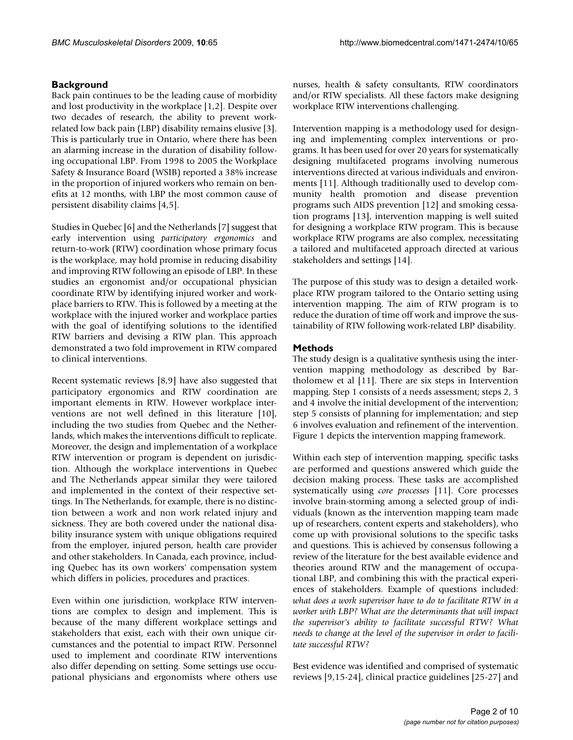# **Background**

Back pain continues to be the leading cause of morbidity and lost productivity in the workplace [[1](#page-8-0)[,2\]](#page-8-1). Despite over two decades of research, the ability to prevent workrelated low back pain (LBP) disability remains elusive [[3](#page-8-2)]. This is particularly true in Ontario, where there has been an alarming increase in the duration of disability following occupational LBP. From 1998 to 2005 the Workplace Safety & Insurance Board (WSIB) reported a 38% increase in the proportion of injured workers who remain on benefits at 12 months, with LBP the most common cause of persistent disability claims [\[4](#page-8-3)[,5\]](#page-8-4).

Studies in Quebec [[6\]](#page-8-5) and the Netherlands [[7](#page-8-6)] suggest that early intervention using *participatory ergonomics* and return-to-work (RTW) coordination whose primary focus is the workplace, may hold promise in reducing disability and improving RTW following an episode of LBP. In these studies an ergonomist and/or occupational physician coordinate RTW by identifying injured worker and workplace barriers to RTW. This is followed by a meeting at the workplace with the injured worker and workplace parties with the goal of identifying solutions to the identified RTW barriers and devising a RTW plan. This approach demonstrated a two fold improvement in RTW compared to clinical interventions.

Recent systematic reviews [[8](#page-8-7)[,9\]](#page-8-8) have also suggested that participatory ergonomics and RTW coordination are important elements in RTW. However workplace interventions are not well defined in this literature [\[10](#page-8-9)], including the two studies from Quebec and the Netherlands, which makes the interventions difficult to replicate. Moreover, the design and implementation of a workplace RTW intervention or program is dependent on jurisdiction. Although the workplace interventions in Quebec and The Netherlands appear similar they were tailored and implemented in the context of their respective settings. In The Netherlands, for example, there is no distinction between a work and non work related injury and sickness. They are both covered under the national disability insurance system with unique obligations required from the employer, injured person, health care provider and other stakeholders. In Canada, each province, including Quebec has its own workers' compensation system which differs in policies, procedures and practices.

Even within one jurisdiction, workplace RTW interventions are complex to design and implement. This is because of the many different workplace settings and stakeholders that exist, each with their own unique circumstances and the potential to impact RTW. Personnel used to implement and coordinate RTW interventions also differ depending on setting. Some settings use occupational physicians and ergonomists where others use nurses, health & safety consultants, RTW coordinators and/or RTW specialists. All these factors make designing workplace RTW interventions challenging.

Intervention mapping is a methodology used for designing and implementing complex interventions or programs. It has been used for over 20 years for systematically designing multifaceted programs involving numerous interventions directed at various individuals and environments [\[11](#page-8-10)]. Although traditionally used to develop community health promotion and disease prevention programs such AIDS prevention [[12\]](#page-8-11) and smoking cessation programs [[13](#page-8-12)], intervention mapping is well suited for designing a workplace RTW program. This is because workplace RTW programs are also complex, necessitating a tailored and multifaceted approach directed at various stakeholders and settings [\[14](#page-8-13)].

The purpose of this study was to design a detailed workplace RTW program tailored to the Ontario setting using intervention mapping. The aim of RTW program is to reduce the duration of time off work and improve the sustainability of RTW following work-related LBP disability.

# **Methods**

The study design is a qualitative synthesis using the intervention mapping methodology as described by Bartholomew et al [\[11\]](#page-8-10). There are six steps in Intervention mapping. Step 1 consists of a needs assessment; steps 2, 3 and 4 involve the initial development of the intervention; step 5 consists of planning for implementation; and step 6 involves evaluation and refinement of the intervention. Figure [1](#page-2-0) depicts the intervention mapping framework.

Within each step of intervention mapping, specific tasks are performed and questions answered which guide the decision making process. These tasks are accomplished systematically using *core processes* [[11\]](#page-8-10). Core processes involve brain-storming among a selected group of individuals (known as the intervention mapping team made up of researchers, content experts and stakeholders), who come up with provisional solutions to the specific tasks and questions. This is achieved by consensus following a review of the literature for the best available evidence and theories around RTW and the management of occupational LBP, and combining this with the practical experiences of stakeholders. Example of questions included: *what does a work supervisor have to do to facilitate RTW in a worker with LBP? What are the determinants that will impact the supervisor's ability to facilitate successful RTW? What needs to change at the level of the supervisor in order to facilitate successful RTW?*

Best evidence was identified and comprised of systematic reviews [[9](#page-8-8),[15-](#page-8-14)[24\]](#page-8-15), clinical practice guidelines [\[25](#page-8-16)[-27](#page-8-17)] and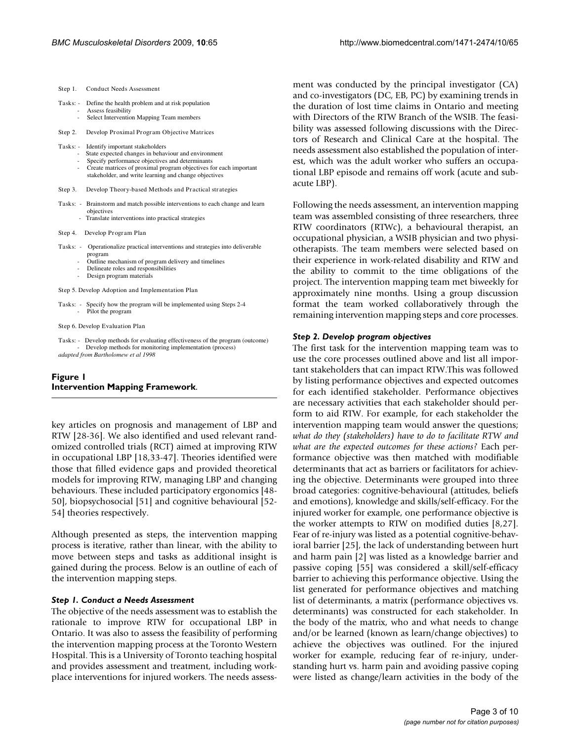<span id="page-2-0"></span>

|         | Step 1. Conduct Needs Assessment                                                                                                                                                                                                                                                     |
|---------|--------------------------------------------------------------------------------------------------------------------------------------------------------------------------------------------------------------------------------------------------------------------------------------|
|         | Tasks: - Define the health problem and at risk population<br>- Assess feasibility<br>- Select Intervention Mapping Team members                                                                                                                                                      |
| Step 2. | Develop Proximal Program Objective Matrices                                                                                                                                                                                                                                          |
| $\sim$  | Tasks: - Identify important stakeholders<br>State expected changes in behaviour and environment<br>- Specify performance objectives and determinants<br>- Create matrices of proximal program objectives for each important<br>stakeholder, and write learning and change objectives |
|         | Step 3. Develop Theory-based Methods and Practical strategies                                                                                                                                                                                                                        |
|         | Tasks: - Brainstorm and match possible interventions to each change and learn<br>objectives<br>- Translate interventions into practical strategies                                                                                                                                   |
|         | Step 4. Develop Program Plan                                                                                                                                                                                                                                                         |
| $\sim$  | Tasks: - Operationalize practical interventions and strategies into deliverable<br>program<br>- Outline mechanism of program delivery and timelines<br>- Delineate roles and responsibilities<br>Design program materials                                                            |
|         | Step 5. Develop Adoption and Implementation Plan                                                                                                                                                                                                                                     |
|         | Tasks: - Specify how the program will be implemented using Steps 2-4<br>- Pilot the program                                                                                                                                                                                          |
|         | Step 6. Develop Evaluation Plan                                                                                                                                                                                                                                                      |

Tasks: - Develop methods for evaluating effectiveness of the program (outcome) - Develop methods for monitoring implementation (process) *adapted from Bartholomew et al 1998* 

# **Figure 1 Intervention Mapping Framework**.

key articles on prognosis and management of LBP and RTW [[28-](#page-9-0)[36](#page-9-1)]. We also identified and used relevant randomized controlled trials (RCT) aimed at improving RTW in occupational LBP [\[18](#page-8-18)[,33](#page-9-2)[-47](#page-9-3)]. Theories identified were those that filled evidence gaps and provided theoretical models for improving RTW, managing LBP and changing behaviours. These included participatory ergonomics [\[48](#page-9-4)- [50\]](#page-9-5), biopsychosocial [[51](#page-9-6)] and cognitive behavioural [\[52](#page-9-7)- [54\]](#page-9-8) theories respectively.

Although presented as steps, the intervention mapping process is iterative, rather than linear, with the ability to move between steps and tasks as additional insight is gained during the process. Below is an outline of each of the intervention mapping steps.

#### *Step 1. Conduct a Needs Assessment*

The objective of the needs assessment was to establish the rationale to improve RTW for occupational LBP in Ontario. It was also to assess the feasibility of performing the intervention mapping process at the Toronto Western Hospital. This is a University of Toronto teaching hospital and provides assessment and treatment, including workplace interventions for injured workers. The needs assessment was conducted by the principal investigator (CA) and co-investigators (DC, EB, PC) by examining trends in the duration of lost time claims in Ontario and meeting with Directors of the RTW Branch of the WSIB. The feasibility was assessed following discussions with the Directors of Research and Clinical Care at the hospital. The needs assessment also established the population of interest, which was the adult worker who suffers an occupational LBP episode and remains off work (acute and subacute LBP).

Following the needs assessment, an intervention mapping team was assembled consisting of three researchers, three RTW coordinators (RTWc), a behavioural therapist, an occupational physician, a WSIB physician and two physiotherapists. The team members were selected based on their experience in work-related disability and RTW and the ability to commit to the time obligations of the project. The intervention mapping team met biweekly for approximately nine months. Using a group discussion format the team worked collaboratively through the remaining intervention mapping steps and core processes.

#### *Step 2. Develop program objectives*

The first task for the intervention mapping team was to use the core processes outlined above and list all important stakeholders that can impact RTW.This was followed by listing performance objectives and expected outcomes for each identified stakeholder. Performance objectives are necessary activities that each stakeholder should perform to aid RTW. For example, for each stakeholder the intervention mapping team would answer the questions; *what do they (stakeholders) have to do to facilitate RTW and what are the expected outcomes for these actions?* Each performance objective was then matched with modifiable determinants that act as barriers or facilitators for achieving the objective. Determinants were grouped into three broad categories: cognitive-behavioural (attitudes, beliefs and emotions), knowledge and skills/self-efficacy. For the injured worker for example, one performance objective is the worker attempts to RTW on modified duties [\[8,](#page-8-7)[27](#page-8-17)]. Fear of re-injury was listed as a potential cognitive-behavioral barrier [[25\]](#page-8-16), the lack of understanding between hurt and harm pain [[2](#page-8-1)] was listed as a knowledge barrier and passive coping [[55\]](#page-9-9) was considered a skill/self-efficacy barrier to achieving this performance objective. Using the list generated for performance objectives and matching list of determinants, a matrix (performance objectives vs. determinants) was constructed for each stakeholder. In the body of the matrix, who and what needs to change and/or be learned (known as learn/change objectives) to achieve the objectives was outlined. For the injured worker for example, reducing fear of re-injury, understanding hurt vs. harm pain and avoiding passive coping were listed as change/learn activities in the body of the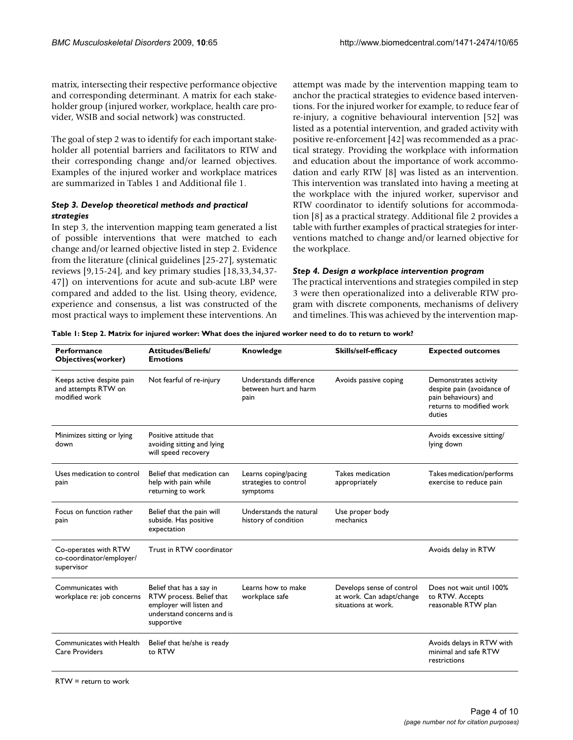matrix, intersecting their respective performance objective and corresponding determinant. A matrix for each stakeholder group (injured worker, workplace, health care provider, WSIB and social network) was constructed.

The goal of step 2 was to identify for each important stakeholder all potential barriers and facilitators to RTW and their corresponding change and/or learned objectives. Examples of the injured worker and workplace matrices are summarized in Tables [1](#page-3-0) and Additional file [1.](#page-8-19)

# *Step 3. Develop theoretical methods and practical strategies*

In step 3, the intervention mapping team generated a list of possible interventions that were matched to each change and/or learned objective listed in step 2. Evidence from the literature (clinical guidelines [[25-](#page-8-16)[27\]](#page-8-17), systematic reviews [[9](#page-8-8)[,15](#page-8-14)[-24](#page-8-15)], and key primary studies [\[18](#page-8-18)[,33](#page-9-2),[34,](#page-9-10)[37](#page-9-11)- [47\]](#page-9-3)) on interventions for acute and sub-acute LBP were compared and added to the list. Using theory, evidence, experience and consensus, a list was constructed of the most practical ways to implement these interventions. An attempt was made by the intervention mapping team to anchor the practical strategies to evidence based interventions. For the injured worker for example, to reduce fear of re-injury, a cognitive behavioural intervention [\[52\]](#page-9-7) was listed as a potential intervention, and graded activity with positive re-enforcement [[42\]](#page-9-12) was recommended as a practical strategy. Providing the workplace with information and education about the importance of work accommodation and early RTW [\[8\]](#page-8-7) was listed as an intervention. This intervention was translated into having a meeting at the workplace with the injured worker, supervisor and RTW coordinator to identify solutions for accommodation [\[8\]](#page-8-7) as a practical strategy. Additional file [2](#page-8-20) provides a table with further examples of practical strategies for interventions matched to change and/or learned objective for the workplace.

# *Step 4. Design a workplace intervention program*

The practical interventions and strategies compiled in step 3 were then operationalized into a deliverable RTW program with discrete components, mechanisms of delivery and timelines. This was achieved by the intervention map-

<span id="page-3-0"></span>

|  | Table I: Step 2. Matrix for injured worker: What does the injured worker need to do to return to work? |  |  |  |  |  |
|--|--------------------------------------------------------------------------------------------------------|--|--|--|--|--|
|  |                                                                                                        |  |  |  |  |  |

| Performance<br><b>Objectives(worker)</b>                          | <b>Attitudes/Beliefs/</b><br><b>Emotions</b>                                                                                 | Knowledge                                                 | Skills/self-efficacy                                                          | <b>Expected outcomes</b>                                                                                          |
|-------------------------------------------------------------------|------------------------------------------------------------------------------------------------------------------------------|-----------------------------------------------------------|-------------------------------------------------------------------------------|-------------------------------------------------------------------------------------------------------------------|
| Keeps active despite pain<br>and attempts RTW on<br>modified work | Not fearful of re-injury                                                                                                     | Understands difference<br>between hurt and harm<br>pain   | Avoids passive coping                                                         | Demonstrates activity<br>despite pain (avoidance of<br>pain behaviours) and<br>returns to modified work<br>duties |
| Minimizes sitting or lying<br>down                                | Positive attitude that<br>avoiding sitting and lying<br>will speed recovery                                                  |                                                           |                                                                               | Avoids excessive sitting/<br>lying down                                                                           |
| Uses medication to control<br>pain                                | Belief that medication can<br>help with pain while<br>returning to work                                                      | Learns coping/pacing<br>strategies to control<br>symptoms | Takes medication<br>appropriately                                             | Takes medication/performs<br>exercise to reduce pain                                                              |
| Focus on function rather<br>pain                                  | Belief that the pain will<br>subside. Has positive<br>expectation                                                            | Understands the natural<br>history of condition           | Use proper body<br>mechanics                                                  |                                                                                                                   |
| Co-operates with RTW<br>co-coordinator/employer/<br>supervisor    | Trust in RTW coordinator                                                                                                     |                                                           |                                                                               | Avoids delay in RTW                                                                                               |
| Communicates with<br>workplace re: job concerns                   | Belief that has a say in<br>RTW process. Belief that<br>employer will listen and<br>understand concerns and is<br>supportive | Learns how to make<br>workplace safe                      | Develops sense of control<br>at work. Can adapt/change<br>situations at work. | Does not wait until 100%<br>to RTW. Accepts<br>reasonable RTW plan                                                |
| Communicates with Health<br>Care Providers                        | Belief that he/she is ready<br>to RTW                                                                                        |                                                           |                                                                               | Avoids delays in RTW with<br>minimal and safe RTW<br>restrictions                                                 |

RTW = return to work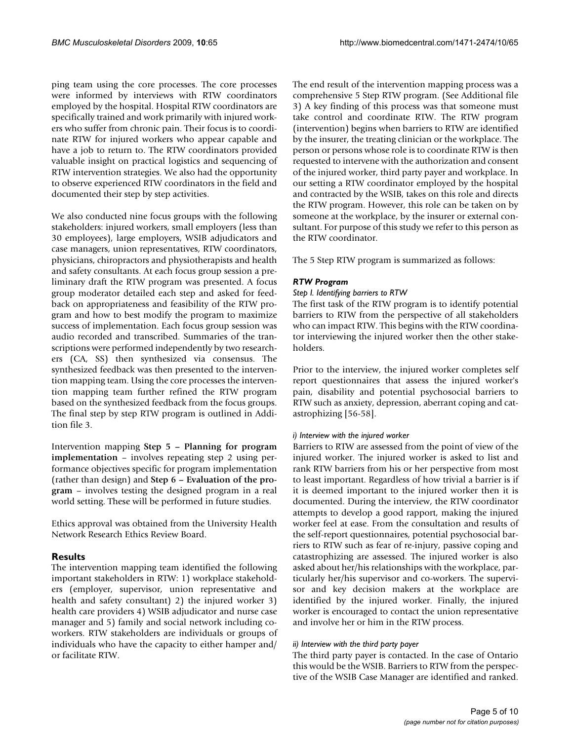ping team using the core processes. The core processes were informed by interviews with RTW coordinators employed by the hospital. Hospital RTW coordinators are specifically trained and work primarily with injured workers who suffer from chronic pain. Their focus is to coordinate RTW for injured workers who appear capable and have a job to return to. The RTW coordinators provided valuable insight on practical logistics and sequencing of RTW intervention strategies. We also had the opportunity to observe experienced RTW coordinators in the field and documented their step by step activities.

We also conducted nine focus groups with the following stakeholders: injured workers, small employers (less than 30 employees), large employers, WSIB adjudicators and case managers, union representatives, RTW coordinators, physicians, chiropractors and physiotherapists and health and safety consultants. At each focus group session a preliminary draft the RTW program was presented. A focus group moderator detailed each step and asked for feedback on appropriateness and feasibility of the RTW program and how to best modify the program to maximize success of implementation. Each focus group session was audio recorded and transcribed. Summaries of the transcriptions were performed independently by two researchers (CA, SS) then synthesized via consensus. The synthesized feedback was then presented to the intervention mapping team. Using the core processes the intervention mapping team further refined the RTW program based on the synthesized feedback from the focus groups. The final step by step RTW program is outlined in Addition file [3](#page-8-21).

Intervention mapping **Step 5 – Planning for program implementation** – involves repeating step 2 using performance objectives specific for program implementation (rather than design) and **Step 6 – Evaluation of the program** – involves testing the designed program in a real world setting. These will be performed in future studies.

Ethics approval was obtained from the University Health Network Research Ethics Review Board.

# **Results**

The intervention mapping team identified the following important stakeholders in RTW: 1) workplace stakeholders (employer, supervisor, union representative and health and safety consultant) 2) the injured worker 3) health care providers 4) WSIB adjudicator and nurse case manager and 5) family and social network including coworkers. RTW stakeholders are individuals or groups of individuals who have the capacity to either hamper and/ or facilitate RTW.

The end result of the intervention mapping process was a comprehensive 5 Step RTW program. (See Additional file [3](#page-8-21)) A key finding of this process was that someone must take control and coordinate RTW. The RTW program (intervention) begins when barriers to RTW are identified by the insurer, the treating clinician or the workplace. The person or persons whose role is to coordinate RTW is then requested to intervene with the authorization and consent of the injured worker, third party payer and workplace. In our setting a RTW coordinator employed by the hospital and contracted by the WSIB, takes on this role and directs the RTW program. However, this role can be taken on by someone at the workplace, by the insurer or external consultant. For purpose of this study we refer to this person as the RTW coordinator.

The 5 Step RTW program is summarized as follows:

# *RTW Program*

### *Step I. Identifying barriers to RTW*

The first task of the RTW program is to identify potential barriers to RTW from the perspective of all stakeholders who can impact RTW. This begins with the RTW coordinator interviewing the injured worker then the other stakeholders.

Prior to the interview, the injured worker completes self report questionnaires that assess the injured worker's pain, disability and potential psychosocial barriers to RTW such as anxiety, depression, aberrant coping and catastrophizing [[56-](#page-9-13)[58](#page-9-14)].

# *i) Interview with the injured worker*

Barriers to RTW are assessed from the point of view of the injured worker. The injured worker is asked to list and rank RTW barriers from his or her perspective from most to least important. Regardless of how trivial a barrier is if it is deemed important to the injured worker then it is documented. During the interview, the RTW coordinator attempts to develop a good rapport, making the injured worker feel at ease. From the consultation and results of the self-report questionnaires, potential psychosocial barriers to RTW such as fear of re-injury, passive coping and catastrophizing are assessed. The injured worker is also asked about her/his relationships with the workplace, particularly her/his supervisor and co-workers. The supervisor and key decision makers at the workplace are identified by the injured worker. Finally, the injured worker is encouraged to contact the union representative and involve her or him in the RTW process.

#### *ii) Interview with the third party payer*

The third party payer is contacted. In the case of Ontario this would be the WSIB. Barriers to RTW from the perspective of the WSIB Case Manager are identified and ranked.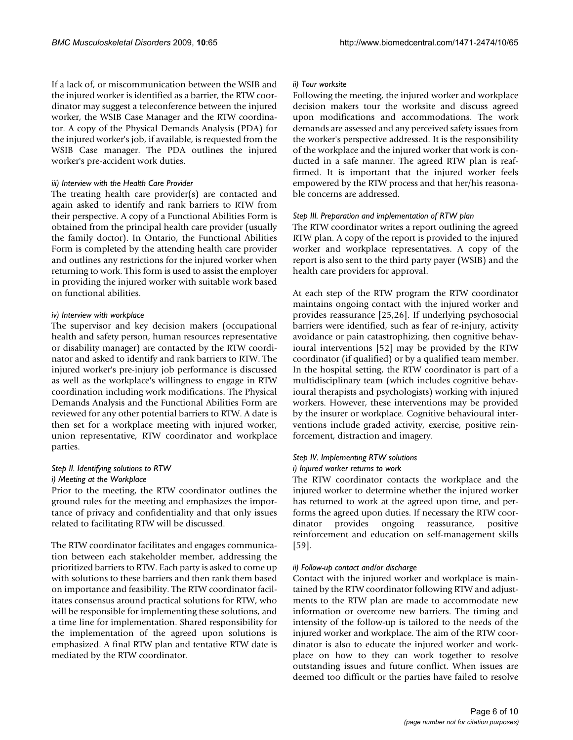If a lack of, or miscommunication between the WSIB and the injured worker is identified as a barrier, the RTW coordinator may suggest a teleconference between the injured worker, the WSIB Case Manager and the RTW coordinator. A copy of the Physical Demands Analysis (PDA) for the injured worker's job, if available, is requested from the WSIB Case manager. The PDA outlines the injured worker's pre-accident work duties.

### *iii) Interview with the Health Care Provider*

The treating health care provider(s) are contacted and again asked to identify and rank barriers to RTW from their perspective. A copy of a Functional Abilities Form is obtained from the principal health care provider (usually the family doctor). In Ontario, the Functional Abilities Form is completed by the attending health care provider and outlines any restrictions for the injured worker when returning to work. This form is used to assist the employer in providing the injured worker with suitable work based on functional abilities.

### *iv) Interview with workplace*

The supervisor and key decision makers (occupational health and safety person, human resources representative or disability manager) are contacted by the RTW coordinator and asked to identify and rank barriers to RTW. The injured worker's pre-injury job performance is discussed as well as the workplace's willingness to engage in RTW coordination including work modifications. The Physical Demands Analysis and the Functional Abilities Form are reviewed for any other potential barriers to RTW. A date is then set for a workplace meeting with injured worker, union representative, RTW coordinator and workplace parties.

# *Step II. Identifying solutions to RTW*

#### *i) Meeting at the Workplace*

Prior to the meeting, the RTW coordinator outlines the ground rules for the meeting and emphasizes the importance of privacy and confidentiality and that only issues related to facilitating RTW will be discussed.

The RTW coordinator facilitates and engages communication between each stakeholder member, addressing the prioritized barriers to RTW. Each party is asked to come up with solutions to these barriers and then rank them based on importance and feasibility. The RTW coordinator facilitates consensus around practical solutions for RTW, who will be responsible for implementing these solutions, and a time line for implementation. Shared responsibility for the implementation of the agreed upon solutions is emphasized. A final RTW plan and tentative RTW date is mediated by the RTW coordinator.

#### *ii) Tour worksite*

Following the meeting, the injured worker and workplace decision makers tour the worksite and discuss agreed upon modifications and accommodations. The work demands are assessed and any perceived safety issues from the worker's perspective addressed. It is the responsibility of the workplace and the injured worker that work is conducted in a safe manner. The agreed RTW plan is reaffirmed. It is important that the injured worker feels empowered by the RTW process and that her/his reasonable concerns are addressed.

### *Step III. Preparation and implementation of RTW plan*

The RTW coordinator writes a report outlining the agreed RTW plan. A copy of the report is provided to the injured worker and workplace representatives. A copy of the report is also sent to the third party payer (WSIB) and the health care providers for approval.

At each step of the RTW program the RTW coordinator maintains ongoing contact with the injured worker and provides reassurance [[25,](#page-8-16)[26](#page-8-22)]. If underlying psychosocial barriers were identified, such as fear of re-injury, activity avoidance or pain catastrophizing, then cognitive behavioural interventions [\[52](#page-9-7)] may be provided by the RTW coordinator (if qualified) or by a qualified team member. In the hospital setting, the RTW coordinator is part of a multidisciplinary team (which includes cognitive behavioural therapists and psychologists) working with injured workers. However, these interventions may be provided by the insurer or workplace. Cognitive behavioural interventions include graded activity, exercise, positive reinforcement, distraction and imagery.

# *Step IV. Implementing RTW solutions*

#### *i) Injured worker returns to work*

The RTW coordinator contacts the workplace and the injured worker to determine whether the injured worker has returned to work at the agreed upon time, and performs the agreed upon duties. If necessary the RTW coordinator provides ongoing reassurance, positive reinforcement and education on self-management skills [[59](#page-9-15)].

#### *ii) Follow-up contact and/or discharge*

Contact with the injured worker and workplace is maintained by the RTW coordinator following RTW and adjustments to the RTW plan are made to accommodate new information or overcome new barriers. The timing and intensity of the follow-up is tailored to the needs of the injured worker and workplace. The aim of the RTW coordinator is also to educate the injured worker and workplace on how to they can work together to resolve outstanding issues and future conflict. When issues are deemed too difficult or the parties have failed to resolve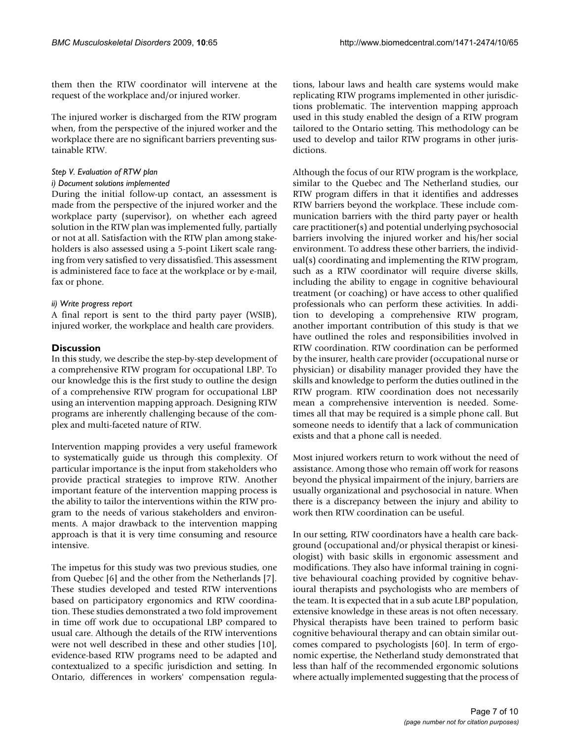them then the RTW coordinator will intervene at the request of the workplace and/or injured worker.

The injured worker is discharged from the RTW program when, from the perspective of the injured worker and the workplace there are no significant barriers preventing sustainable RTW.

#### *Step V. Evaluation of RTW plan*

#### *i) Document solutions implemented*

During the initial follow-up contact, an assessment is made from the perspective of the injured worker and the workplace party (supervisor), on whether each agreed solution in the RTW plan was implemented fully, partially or not at all. Satisfaction with the RTW plan among stakeholders is also assessed using a 5-point Likert scale ranging from very satisfied to very dissatisfied. This assessment is administered face to face at the workplace or by e-mail, fax or phone.

#### *ii) Write progress report*

A final report is sent to the third party payer (WSIB), injured worker, the workplace and health care providers.

# **Discussion**

In this study, we describe the step-by-step development of a comprehensive RTW program for occupational LBP. To our knowledge this is the first study to outline the design of a comprehensive RTW program for occupational LBP using an intervention mapping approach. Designing RTW programs are inherently challenging because of the complex and multi-faceted nature of RTW.

Intervention mapping provides a very useful framework to systematically guide us through this complexity. Of particular importance is the input from stakeholders who provide practical strategies to improve RTW. Another important feature of the intervention mapping process is the ability to tailor the interventions within the RTW program to the needs of various stakeholders and environments. A major drawback to the intervention mapping approach is that it is very time consuming and resource intensive.

The impetus for this study was two previous studies, one from Quebec [[6](#page-8-5)] and the other from the Netherlands [[7](#page-8-6)]. These studies developed and tested RTW interventions based on participatory ergonomics and RTW coordination. These studies demonstrated a two fold improvement in time off work due to occupational LBP compared to usual care. Although the details of the RTW interventions were not well described in these and other studies [\[10](#page-8-9)], evidence-based RTW programs need to be adapted and contextualized to a specific jurisdiction and setting. In Ontario, differences in workers' compensation regulations, labour laws and health care systems would make replicating RTW programs implemented in other jurisdictions problematic. The intervention mapping approach used in this study enabled the design of a RTW program tailored to the Ontario setting. This methodology can be used to develop and tailor RTW programs in other jurisdictions.

Although the focus of our RTW program is the workplace, similar to the Quebec and The Netherland studies, our RTW program differs in that it identifies and addresses RTW barriers beyond the workplace. These include communication barriers with the third party payer or health care practitioner(s) and potential underlying psychosocial barriers involving the injured worker and his/her social environment. To address these other barriers, the individual(s) coordinating and implementing the RTW program, such as a RTW coordinator will require diverse skills, including the ability to engage in cognitive behavioural treatment (or coaching) or have access to other qualified professionals who can perform these activities. In addition to developing a comprehensive RTW program, another important contribution of this study is that we have outlined the roles and responsibilities involved in RTW coordination. RTW coordination can be performed by the insurer, health care provider (occupational nurse or physician) or disability manager provided they have the skills and knowledge to perform the duties outlined in the RTW program. RTW coordination does not necessarily mean a comprehensive intervention is needed. Sometimes all that may be required is a simple phone call. But someone needs to identify that a lack of communication exists and that a phone call is needed.

Most injured workers return to work without the need of assistance. Among those who remain off work for reasons beyond the physical impairment of the injury, barriers are usually organizational and psychosocial in nature. When there is a discrepancy between the injury and ability to work then RTW coordination can be useful.

In our setting, RTW coordinators have a health care background (occupational and/or physical therapist or kinesiologist) with basic skills in ergonomic assessment and modifications. They also have informal training in cognitive behavioural coaching provided by cognitive behavioural therapists and psychologists who are members of the team. It is expected that in a sub acute LBP population, extensive knowledge in these areas is not often necessary. Physical therapists have been trained to perform basic cognitive behavioural therapy and can obtain similar outcomes compared to psychologists [\[60](#page-9-16)]. In term of ergonomic expertise, the Netherland study demonstrated that less than half of the recommended ergonomic solutions where actually implemented suggesting that the process of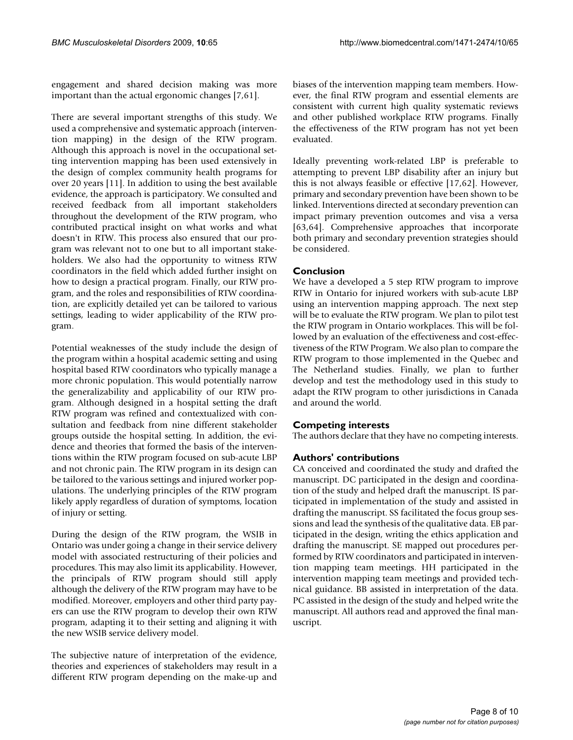engagement and shared decision making was more important than the actual ergonomic changes [[7](#page-8-6),[61](#page-9-17)].

There are several important strengths of this study. We used a comprehensive and systematic approach (intervention mapping) in the design of the RTW program. Although this approach is novel in the occupational setting intervention mapping has been used extensively in the design of complex community health programs for over 20 years [[11](#page-8-10)]. In addition to using the best available evidence, the approach is participatory. We consulted and received feedback from all important stakeholders throughout the development of the RTW program, who contributed practical insight on what works and what doesn't in RTW. This process also ensured that our program was relevant not to one but to all important stakeholders. We also had the opportunity to witness RTW coordinators in the field which added further insight on how to design a practical program. Finally, our RTW program, and the roles and responsibilities of RTW coordination, are explicitly detailed yet can be tailored to various settings, leading to wider applicability of the RTW program.

Potential weaknesses of the study include the design of the program within a hospital academic setting and using hospital based RTW coordinators who typically manage a more chronic population. This would potentially narrow the generalizability and applicability of our RTW program. Although designed in a hospital setting the draft RTW program was refined and contextualized with consultation and feedback from nine different stakeholder groups outside the hospital setting. In addition, the evidence and theories that formed the basis of the interventions within the RTW program focused on sub-acute LBP and not chronic pain. The RTW program in its design can be tailored to the various settings and injured worker populations. The underlying principles of the RTW program likely apply regardless of duration of symptoms, location of injury or setting.

During the design of the RTW program, the WSIB in Ontario was under going a change in their service delivery model with associated restructuring of their policies and procedures. This may also limit its applicability. However, the principals of RTW program should still apply although the delivery of the RTW program may have to be modified. Moreover, employers and other third party payers can use the RTW program to develop their own RTW program, adapting it to their setting and aligning it with the new WSIB service delivery model.

The subjective nature of interpretation of the evidence, theories and experiences of stakeholders may result in a different RTW program depending on the make-up and biases of the intervention mapping team members. However, the final RTW program and essential elements are consistent with current high quality systematic reviews and other published workplace RTW programs. Finally the effectiveness of the RTW program has not yet been evaluated.

Ideally preventing work-related LBP is preferable to attempting to prevent LBP disability after an injury but this is not always feasible or effective [\[17](#page-8-23),[62](#page-9-18)]. However, primary and secondary prevention have been shown to be linked. Interventions directed at secondary prevention can impact primary prevention outcomes and visa a versa [[63](#page-9-19),[64\]](#page-9-20). Comprehensive approaches that incorporate both primary and secondary prevention strategies should be considered.

# **Conclusion**

We have a developed a 5 step RTW program to improve RTW in Ontario for injured workers with sub-acute LBP using an intervention mapping approach. The next step will be to evaluate the RTW program. We plan to pilot test the RTW program in Ontario workplaces. This will be followed by an evaluation of the effectiveness and cost-effectiveness of the RTW Program. We also plan to compare the RTW program to those implemented in the Quebec and The Netherland studies. Finally, we plan to further develop and test the methodology used in this study to adapt the RTW program to other jurisdictions in Canada and around the world.

# **Competing interests**

The authors declare that they have no competing interests.

# **Authors' contributions**

CA conceived and coordinated the study and drafted the manuscript. DC participated in the design and coordination of the study and helped draft the manuscript. IS participated in implementation of the study and assisted in drafting the manuscript. SS facilitated the focus group sessions and lead the synthesis of the qualitative data. EB participated in the design, writing the ethics application and drafting the manuscript. SE mapped out procedures performed by RTW coordinators and participated in intervention mapping team meetings. HH participated in the intervention mapping team meetings and provided technical guidance. BB assisted in interpretation of the data. PC assisted in the design of the study and helped write the manuscript. All authors read and approved the final manuscript.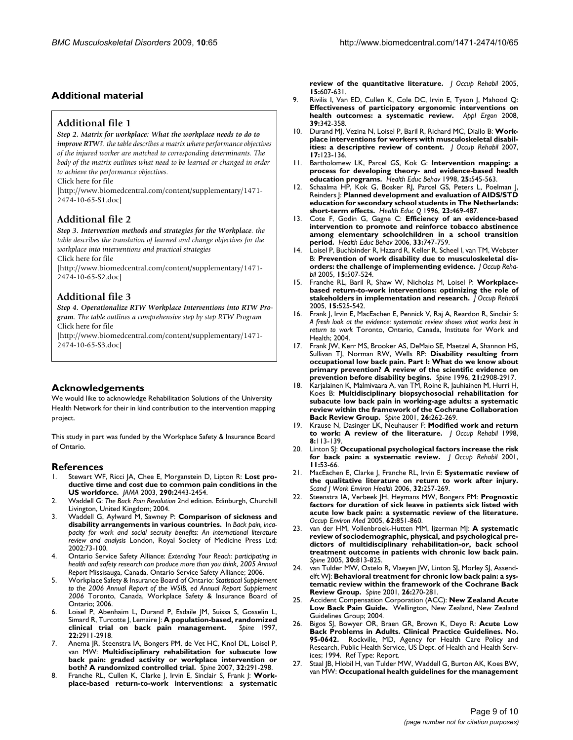# **Additional material**

#### <span id="page-8-19"></span>**Additional file 1**

*Step 2. Matrix for workplace: What the workplace needs to do to improve RTW?. the table describes a matrix where performance objectives of the injured worker are matched to corresponding determinants. The body of the matrix outlines what need to be learned or changed in order to achieve the performance objectives.*

Click here for file

[\[http://www.biomedcentral.com/content/supplementary/1471-](http://www.biomedcentral.com/content/supplementary/1471-2474-10-65-S1.doc) 2474-10-65-S1.doc]

# <span id="page-8-20"></span>**Additional file 2**

*Step 3. Intervention methods and strategies for the Workplace. the table describes the translation of learned and change objectives for the workplace into interventions and practical strategies* Click here for file

[\[http://www.biomedcentral.com/content/supplementary/1471-](http://www.biomedcentral.com/content/supplementary/1471-2474-10-65-S2.doc) 2474-10-65-S2.doc]

# <span id="page-8-21"></span>**Additional file 3**

*Step 4. Operationalize RTW Workplace Interventions into RTW Program. The table outlines a comprehensive step by step RTW Program* Click here for file

[\[http://www.biomedcentral.com/content/supplementary/1471-](http://www.biomedcentral.com/content/supplementary/1471-2474-10-65-S3.doc) 2474-10-65-S3.doc]

#### **Acknowledgements**

We would like to acknowledge Rehabilitation Solutions of the University Health Network for their in kind contribution to the intervention mapping project.

This study in part was funded by the Workplace Safety & Insurance Board of Ontario.

#### **References**

- <span id="page-8-0"></span>1. Stewart WF, Ricci JA, Chee E, Morganstein D, Lipton R: **[Lost pro](http://www.ncbi.nlm.nih.gov/entrez/query.fcgi?cmd=Retrieve&db=PubMed&dopt=Abstract&list_uids=14612481)[ductive time and cost due to common pain conditions in the](http://www.ncbi.nlm.nih.gov/entrez/query.fcgi?cmd=Retrieve&db=PubMed&dopt=Abstract&list_uids=14612481) [US workforce.](http://www.ncbi.nlm.nih.gov/entrez/query.fcgi?cmd=Retrieve&db=PubMed&dopt=Abstract&list_uids=14612481)** *JAMA* 2003, **290:**2443-2454.
- <span id="page-8-1"></span>2. Waddell G: *The Back Pain Revolution* 2nd edition. Edinburgh, Churchill Livington, United Kingdom; 2004.
- <span id="page-8-2"></span>3. Waddell G, Aylward M, Sawney P: **Comparison of sickness and disability arrangements in various countries.** In *Back pain, incapacity for work and social secruity benefits: An international literature review and analysis* London, Royal Society of Medicine Press Ltd; 2002:73-100.
- <span id="page-8-3"></span>4. Ontario Service Safety Alliance: *Extending Your Reach: participating in health and safety research can produce more than you think, 2005 Annual Report* Missisauga, Canada, Ontario Service Safety Alliance; 2006.
- <span id="page-8-4"></span>5. Workplace Safety & Insurance Board of Ontario: *Statistical Supplement to the 2006 Annual Report of the WSIB, ed Annual Report Supplement 2006* Toronto, Canada, Workplace Safety & Insurance Board of Ontario; 2006.
- <span id="page-8-5"></span>6. Loisel P, Abenhaim L, Durand P, Esdaile JM, Suissa S, Gosselin L, Simard R, Turcotte J, Lemaire J: **[A population-based, randomized](http://www.ncbi.nlm.nih.gov/entrez/query.fcgi?cmd=Retrieve&db=PubMed&dopt=Abstract&list_uids=9431627) [clinical trial on back pain management.](http://www.ncbi.nlm.nih.gov/entrez/query.fcgi?cmd=Retrieve&db=PubMed&dopt=Abstract&list_uids=9431627)** *Spine* 1997, **22:**2911-2918.
- <span id="page-8-6"></span>Anema JR, Steenstra IA, Bongers PM, de Vet HC, Knol DL, Loisel P, van MW: **[Multidisciplinary rehabilitation for subacute low](http://www.ncbi.nlm.nih.gov/entrez/query.fcgi?cmd=Retrieve&db=PubMed&dopt=Abstract&list_uids=17268258) [back pain: graded activity or workplace intervention or](http://www.ncbi.nlm.nih.gov/entrez/query.fcgi?cmd=Retrieve&db=PubMed&dopt=Abstract&list_uids=17268258) [both? A randomized controlled trial.](http://www.ncbi.nlm.nih.gov/entrez/query.fcgi?cmd=Retrieve&db=PubMed&dopt=Abstract&list_uids=17268258)** *Spine* 2007, **32:**291-298.
- <span id="page-8-7"></span>8. Franche RL, Cullen K, Clarke J, Irvin E, Sinclair S, Frank J: [Work](http://www.ncbi.nlm.nih.gov/entrez/query.fcgi?cmd=Retrieve&db=PubMed&dopt=Abstract&list_uids=16254759)**[place-based return-to-work interventions: a systematic](http://www.ncbi.nlm.nih.gov/entrez/query.fcgi?cmd=Retrieve&db=PubMed&dopt=Abstract&list_uids=16254759)**

**[review of the quantitative literature.](http://www.ncbi.nlm.nih.gov/entrez/query.fcgi?cmd=Retrieve&db=PubMed&dopt=Abstract&list_uids=16254759)** *J Occup Rehabil* 2005, **15:**607-631.

- <span id="page-8-8"></span>9. Rivilis I, Van ED, Cullen K, Cole DC, Irvin E, Tyson J, Mahood Q: **[Effectiveness of participatory ergonomic interventions on](http://www.ncbi.nlm.nih.gov/entrez/query.fcgi?cmd=Retrieve&db=PubMed&dopt=Abstract&list_uids=17988646) [health outcomes: a systematic review.](http://www.ncbi.nlm.nih.gov/entrez/query.fcgi?cmd=Retrieve&db=PubMed&dopt=Abstract&list_uids=17988646)** *Appl Ergon* 2008, **39:**342-358.
- <span id="page-8-9"></span>10. Durand MJ, Vezina N, Loisel P, Baril R, Richard MC, Diallo B: **[Work](http://www.ncbi.nlm.nih.gov/entrez/query.fcgi?cmd=Retrieve&db=PubMed&dopt=Abstract&list_uids=16967333)[place interventions for workers with musculoskeletal disabil](http://www.ncbi.nlm.nih.gov/entrez/query.fcgi?cmd=Retrieve&db=PubMed&dopt=Abstract&list_uids=16967333)[ities: a descriptive review of content.](http://www.ncbi.nlm.nih.gov/entrez/query.fcgi?cmd=Retrieve&db=PubMed&dopt=Abstract&list_uids=16967333)** *J Occup Rehabil* 2007, **17:**123-136.
- <span id="page-8-10"></span>11. Bartholomew LK, Parcel GS, Kok G: **[Intervention mapping: a](http://www.ncbi.nlm.nih.gov/entrez/query.fcgi?cmd=Retrieve&db=PubMed&dopt=Abstract&list_uids=9768376) [process for developing theory- and evidence-based health](http://www.ncbi.nlm.nih.gov/entrez/query.fcgi?cmd=Retrieve&db=PubMed&dopt=Abstract&list_uids=9768376) [education programs.](http://www.ncbi.nlm.nih.gov/entrez/query.fcgi?cmd=Retrieve&db=PubMed&dopt=Abstract&list_uids=9768376)** *Health Educ Behav* 1998, **25:**545-563.
- <span id="page-8-11"></span>12. Schaalma HP, Kok G, Bosker RJ, Parcel GS, Peters L, Poelman J, Reinders J: **[Planned development and evaluation of AIDS/STD](http://www.ncbi.nlm.nih.gov/entrez/query.fcgi?cmd=Retrieve&db=PubMed&dopt=Abstract&list_uids=8910025) [education for secondary school students in The Netherlands:](http://www.ncbi.nlm.nih.gov/entrez/query.fcgi?cmd=Retrieve&db=PubMed&dopt=Abstract&list_uids=8910025) [short-term effects.](http://www.ncbi.nlm.nih.gov/entrez/query.fcgi?cmd=Retrieve&db=PubMed&dopt=Abstract&list_uids=8910025)** *Health Educ Q* 1996, **23:**469-487.
- <span id="page-8-12"></span>13. Cote F, Godin G, Gagne C: **[Efficiency of an evidence-based](http://www.ncbi.nlm.nih.gov/entrez/query.fcgi?cmd=Retrieve&db=PubMed&dopt=Abstract&list_uids=16740516) [intervention to promote and reinforce tobacco abstinence](http://www.ncbi.nlm.nih.gov/entrez/query.fcgi?cmd=Retrieve&db=PubMed&dopt=Abstract&list_uids=16740516) among elementary schoolchildren in a school transition [period.](http://www.ncbi.nlm.nih.gov/entrez/query.fcgi?cmd=Retrieve&db=PubMed&dopt=Abstract&list_uids=16740516)** *Health Educ Behav* 2006, **33:**747-759.
- <span id="page-8-13"></span>Loisel P, Buchbinder R, Hazard R, Keller R, Scheel I, van TM, Webster B: **[Prevention of work disability due to musculoskeletal dis](http://www.ncbi.nlm.nih.gov/entrez/query.fcgi?cmd=Retrieve&db=PubMed&dopt=Abstract&list_uids=16254752)[orders: the challenge of implementing evidence.](http://www.ncbi.nlm.nih.gov/entrez/query.fcgi?cmd=Retrieve&db=PubMed&dopt=Abstract&list_uids=16254752)** *J Occup Rehabil* 2005, **15:**507-524.
- <span id="page-8-14"></span>15. Franche RL, Baril R, Shaw W, Nicholas M, Loisel P: **[Workplace](http://www.ncbi.nlm.nih.gov/entrez/query.fcgi?cmd=Retrieve&db=PubMed&dopt=Abstract&list_uids=16254753)[based return-to-work interventions: optimizing the role of](http://www.ncbi.nlm.nih.gov/entrez/query.fcgi?cmd=Retrieve&db=PubMed&dopt=Abstract&list_uids=16254753) [stakeholders in implementation and research.](http://www.ncbi.nlm.nih.gov/entrez/query.fcgi?cmd=Retrieve&db=PubMed&dopt=Abstract&list_uids=16254753)** *J Occup Rehabil* 2005, **15:**525-542.
- 16. Frank J, Irvin E, MacEachen E, Pennick V, Raj A, Reardon R, Sinclair S: *A fresh look at the evidence: systematic review shows what works best in return to work* Toronto, Ontario, Canada, Institute for Work and Health; 2004.
- <span id="page-8-23"></span>17. Frank JW, Kerr MS, Brooker AS, DeMaio SE, Maetzel A, Shannon HS, Sullivan TJ, Norman RW, Wells RP: **[Disability resulting from](http://www.ncbi.nlm.nih.gov/entrez/query.fcgi?cmd=Retrieve&db=PubMed&dopt=Abstract&list_uids=9112716) [occupational low back pain. Part I: What do we know about](http://www.ncbi.nlm.nih.gov/entrez/query.fcgi?cmd=Retrieve&db=PubMed&dopt=Abstract&list_uids=9112716) primary prevention? A review of the scientific evidence on [prevention before disability begins.](http://www.ncbi.nlm.nih.gov/entrez/query.fcgi?cmd=Retrieve&db=PubMed&dopt=Abstract&list_uids=9112716)** *Spine* 1996, **21:**2908-2917.
- <span id="page-8-18"></span>18. Karjalainen K, Malmivaara A, van TM, Roine R, Jauhiainen M, Hurri H, Koes B: **[Multidisciplinary biopsychosocial rehabilitation for](http://www.ncbi.nlm.nih.gov/entrez/query.fcgi?cmd=Retrieve&db=PubMed&dopt=Abstract&list_uids=11224862) [subacute low back pain in working-age adults: a systematic](http://www.ncbi.nlm.nih.gov/entrez/query.fcgi?cmd=Retrieve&db=PubMed&dopt=Abstract&list_uids=11224862) review within the framework of the Cochrane Collaboration [Back Review Group.](http://www.ncbi.nlm.nih.gov/entrez/query.fcgi?cmd=Retrieve&db=PubMed&dopt=Abstract&list_uids=11224862)** *Spine* 2001, **26:**262-269.
- 19. Krause N, Dasinger LK, Neuhauser F: **Modified work and return to work: A review of the literature.** *J Occup Rehabil* 1998, **8:**113-139.
- 20. Linton SJ: **[Occupational psychological factors increase the risk](http://www.ncbi.nlm.nih.gov/entrez/query.fcgi?cmd=Retrieve&db=PubMed&dopt=Abstract&list_uids=11706777) [for back pain: a systematic review.](http://www.ncbi.nlm.nih.gov/entrez/query.fcgi?cmd=Retrieve&db=PubMed&dopt=Abstract&list_uids=11706777)** *J Occup Rehabil* 2001, **11:**53-66.
- 21. MacEachen E, Clarke J, Franche RL, Irvin E: **[Systematic review of](http://www.ncbi.nlm.nih.gov/entrez/query.fcgi?cmd=Retrieve&db=PubMed&dopt=Abstract&list_uids=16932823) [the qualitative literature on return to work after injury.](http://www.ncbi.nlm.nih.gov/entrez/query.fcgi?cmd=Retrieve&db=PubMed&dopt=Abstract&list_uids=16932823)** *Scand J Work Environ Health* 2006, **32:**257-269.
- 22. Steenstra IA, Verbeek JH, Heymans MW, Bongers PM: **[Prognostic](http://www.ncbi.nlm.nih.gov/entrez/query.fcgi?cmd=Retrieve&db=PubMed&dopt=Abstract&list_uids=16299094) [factors for duration of sick leave in patients sick listed with](http://www.ncbi.nlm.nih.gov/entrez/query.fcgi?cmd=Retrieve&db=PubMed&dopt=Abstract&list_uids=16299094) acute low back pain: a systematic review of the literature.** *Occup Environ Med* 2005, **62:**851-860.
- 23. van der HM, Vollenbroek-Hutten MM, Ijzerman MJ: **[A systematic](http://www.ncbi.nlm.nih.gov/entrez/query.fcgi?cmd=Retrieve&db=PubMed&dopt=Abstract&list_uids=15803086) [review of sociodemographic, physical, and psychological pre](http://www.ncbi.nlm.nih.gov/entrez/query.fcgi?cmd=Retrieve&db=PubMed&dopt=Abstract&list_uids=15803086)dictors of multidisciplinary rehabilitation-or, back school treatment outcome in patients with chronic low back pain.** *Spine* 2005, **30:**813-825.
- <span id="page-8-15"></span>24. van Tulder MW, Ostelo R, Vlaeyen JW, Linton SJ, Morley SJ, Assendelft WJ: **[Behavioral treatment for chronic low back pain: a sys](http://www.ncbi.nlm.nih.gov/entrez/query.fcgi?cmd=Retrieve&db=PubMed&dopt=Abstract&list_uids=11224863)[tematic review within the framework of the Cochrane Back](http://www.ncbi.nlm.nih.gov/entrez/query.fcgi?cmd=Retrieve&db=PubMed&dopt=Abstract&list_uids=11224863) [Review Group.](http://www.ncbi.nlm.nih.gov/entrez/query.fcgi?cmd=Retrieve&db=PubMed&dopt=Abstract&list_uids=11224863)** *Spine* 2001, **26:**270-281.
- <span id="page-8-16"></span>25. Accident Compensation Corporation (ACC): **New Zealand Acute Low Back Pain Guide.** Wellington, New Zealand, New Zealand Guidelines Group; 2004.
- <span id="page-8-22"></span>26. Bigos SJ, Bowyer OR, Braen GR, Brown K, Deyo R: **Acute Low Back Problems in Adults. Clinical Practice Guidelines. No. 95-0642.** Rockville, MD, Agency for Health Care Policy and Research, Public Health Service, US Dept. of Health and Health Services; 1994. Ref Type: Report.
- <span id="page-8-17"></span>Staal JB, Hlobil H, van Tulder MW, Waddell G, Burton AK, Koes BW, van MW: **[Occupational health guidelines for the management](http://www.ncbi.nlm.nih.gov/entrez/query.fcgi?cmd=Retrieve&db=PubMed&dopt=Abstract&list_uids=12937181)**